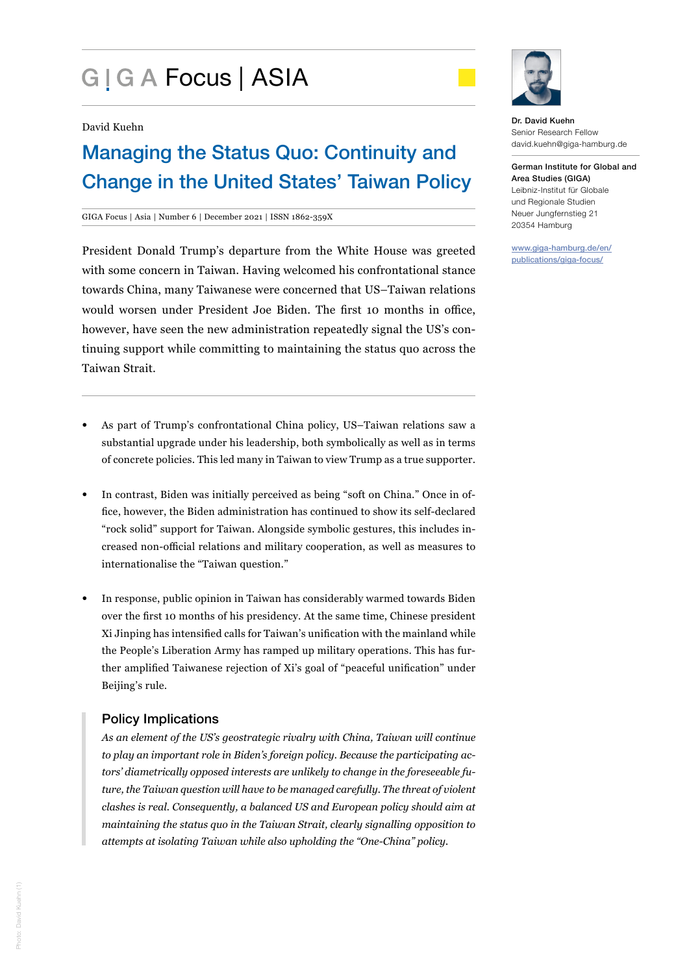# G | G A Focus | ASIA



#### David Kuehn

## Managing the Status Quo: Continuity and Change in the United States' Taiwan Policy

#### GIGA Focus | Asia | Number 6 | December 2021 | ISSN 1862-359X

President Donald Trump's departure from the White House was greeted with some concern in Taiwan. Having welcomed his confrontational stance towards China, many Taiwanese were concerned that US–Taiwan relations would worsen under President Joe Biden. The first 10 months in office, however, have seen the new administration repeatedly signal the US's continuing support while committing to maintaining the status quo across the Taiwan Strait.

- As part of Trump's confrontational China policy, US–Taiwan relations saw a substantial upgrade under his leadership, both symbolically as well as in terms of concrete policies. This led many in Taiwan to view Trump as a true supporter.
- In contrast, Biden was initially perceived as being "soft on China." Once in office, however, the Biden administration has continued to show its self-declared "rock solid" support for Taiwan. Alongside symbolic gestures, this includes increased non-official relations and military cooperation, as well as measures to internationalise the "Taiwan question."
- In response, public opinion in Taiwan has considerably warmed towards Biden over the first 10 months of his presidency. At the same time, Chinese president Xi Jinping has intensified calls for Taiwan's unification with the mainland while the People's Liberation Army has ramped up military operations. This has further amplified Taiwanese rejection of Xi's goal of "peaceful unification" under Beijing's rule.

## Policy Implications

*As an element of the US's geostrategic rivalry with China, Taiwan will continue to play an important role in Biden's foreign policy. Because the participating actors' diametrically opposed interests are unlikely to change in the foreseeable future, the Taiwan question will have to be managed carefully. The threat of violent clashes is real. Consequently, a balanced US and European policy should aim at maintaining the status quo in the Taiwan Strait, clearly signalling opposition to attempts at isolating Taiwan while also upholding the "One-China" policy.* 

Dr. David Kuehn Senior Research Fellow david.kuehn@giga-hamburg.de

German Institute for Global and Area Studies (GIGA) Leibniz-Institut für Globale und Regionale Studien Neuer Jungfernstieg 21 20354 Hamburg

www.giga-hamburg.de/en/ publications/giga-focus/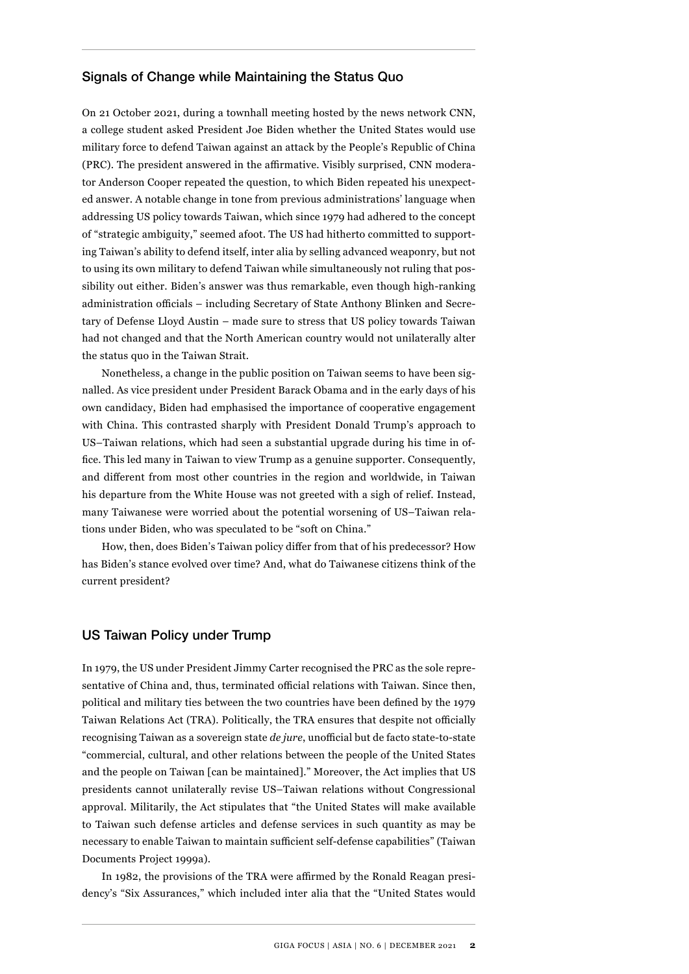## Signals of Change while Maintaining the Status Quo

On 21 October 2021, during a townhall meeting hosted by the news network CNN, a college student asked President Joe Biden whether the United States would use military force to defend Taiwan against an attack by the People's Republic of China (PRC). The president answered in the affirmative. Visibly surprised, CNN moderator Anderson Cooper repeated the question, to which Biden repeated his unexpected answer. A notable change in tone from previous administrations' language when addressing US policy towards Taiwan, which since 1979 had adhered to the concept of "strategic ambiguity," seemed afoot. The US had hitherto committed to supporting Taiwan's ability to defend itself, inter alia by selling advanced weaponry, but not to using its own military to defend Taiwan while simultaneously not ruling that possibility out either. Biden's answer was thus remarkable, even though high-ranking administration officials – including Secretary of State Anthony Blinken and Secretary of Defense Lloyd Austin – made sure to stress that US policy towards Taiwan had not changed and that the North American country would not unilaterally alter the status quo in the Taiwan Strait.

Nonetheless, a change in the public position on Taiwan seems to have been signalled. As vice president under President Barack Obama and in the early days of his own candidacy, Biden had emphasised the importance of cooperative engagement with China. This contrasted sharply with President Donald Trump's approach to US–Taiwan relations, which had seen a substantial upgrade during his time in office. This led many in Taiwan to view Trump as a genuine supporter. Consequently, and different from most other countries in the region and worldwide, in Taiwan his departure from the White House was not greeted with a sigh of relief. Instead, many Taiwanese were worried about the potential worsening of US–Taiwan relations under Biden, who was speculated to be "soft on China."

How, then, does Biden's Taiwan policy differ from that of his predecessor? How has Biden's stance evolved over time? And, what do Taiwanese citizens think of the current president?

#### US Taiwan Policy under Trump

In 1979, the US under President Jimmy Carter recognised the PRC as the sole representative of China and, thus, terminated official relations with Taiwan. Since then, political and military ties between the two countries have been defined by the 1979 Taiwan Relations Act (TRA). Politically, the TRA ensures that despite not officially recognising Taiwan as a sovereign state *de jure*, unofficial but de facto state-to-state "commercial, cultural, and other relations between the people of the United States and the people on Taiwan [can be maintained]." Moreover, the Act implies that US presidents cannot unilaterally revise US–Taiwan relations without Congressional approval. Militarily, the Act stipulates that "the United States will make available to Taiwan such defense articles and defense services in such quantity as may be necessary to enable Taiwan to maintain sufficient self-defense capabilities" (Taiwan Documents Project 1999a).

In 1982, the provisions of the TRA were affirmed by the Ronald Reagan presidency's "Six Assurances," which included inter alia that the "United States would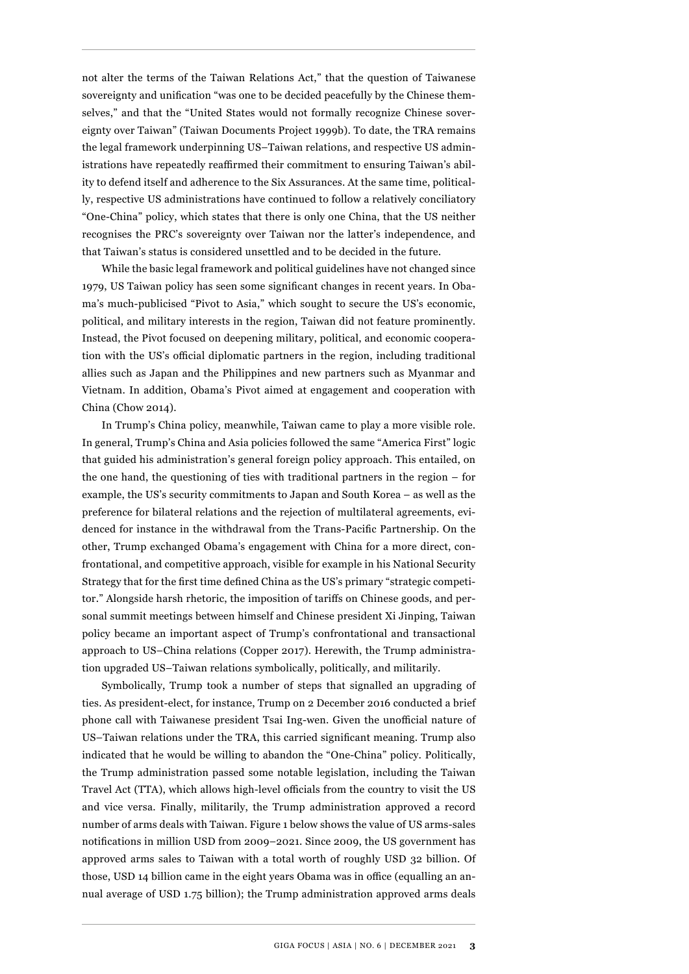not alter the terms of the Taiwan Relations Act," that the question of Taiwanese sovereignty and unification "was one to be decided peacefully by the Chinese themselves," and that the "United States would not formally recognize Chinese sovereignty over Taiwan" (Taiwan Documents Project 1999b). To date, the TRA remains the legal framework underpinning US–Taiwan relations, and respective US administrations have repeatedly reaffirmed their commitment to ensuring Taiwan's ability to defend itself and adherence to the Six Assurances. At the same time, politically, respective US administrations have continued to follow a relatively conciliatory "One-China" policy, which states that there is only one China, that the US neither recognises the PRC's sovereignty over Taiwan nor the latter's independence, and that Taiwan's status is considered unsettled and to be decided in the future.

While the basic legal framework and political guidelines have not changed since 1979, US Taiwan policy has seen some significant changes in recent years. In Obama's much-publicised "Pivot to Asia," which sought to secure the US's economic, political, and military interests in the region, Taiwan did not feature prominently. Instead, the Pivot focused on deepening military, political, and economic cooperation with the US's official diplomatic partners in the region, including traditional allies such as Japan and the Philippines and new partners such as Myanmar and Vietnam. In addition, Obama's Pivot aimed at engagement and cooperation with China (Chow 2014).

In Trump's China policy, meanwhile, Taiwan came to play a more visible role. In general, Trump's China and Asia policies followed the same "America First" logic that guided his administration's general foreign policy approach. This entailed, on the one hand, the questioning of ties with traditional partners in the region – for example, the US's security commitments to Japan and South Korea – as well as the preference for bilateral relations and the rejection of multilateral agreements, evidenced for instance in the withdrawal from the Trans-Pacific Partnership. On the other, Trump exchanged Obama's engagement with China for a more direct, confrontational, and competitive approach, visible for example in his National Security Strategy that for the first time defined China as the US's primary "strategic competitor." Alongside harsh rhetoric, the imposition of tariffs on Chinese goods, and personal summit meetings between himself and Chinese president Xi Jinping, Taiwan policy became an important aspect of Trump's confrontational and transactional approach to US–China relations (Copper 2017). Herewith, the Trump administration upgraded US–Taiwan relations symbolically, politically, and militarily.

Symbolically, Trump took a number of steps that signalled an upgrading of ties. As president-elect, for instance, Trump on 2 December 2016 conducted a brief phone call with Taiwanese president Tsai Ing-wen. Given the unofficial nature of US–Taiwan relations under the TRA, this carried significant meaning. Trump also indicated that he would be willing to abandon the "One-China" policy. Politically, the Trump administration passed some notable legislation, including the Taiwan Travel Act (TTA), which allows high-level officials from the country to visit the US and vice versa. Finally, militarily, the Trump administration approved a record number of arms deals with Taiwan. [Figure 1](#page-3-0) below shows the value of US arms-sales notifications in million USD from 2009–2021. Since 2009, the US government has approved arms sales to Taiwan with a total worth of roughly USD 32 billion. Of those, USD 14 billion came in the eight years Obama was in office (equalling an annual average of USD 1.75 billion); the Trump administration approved arms deals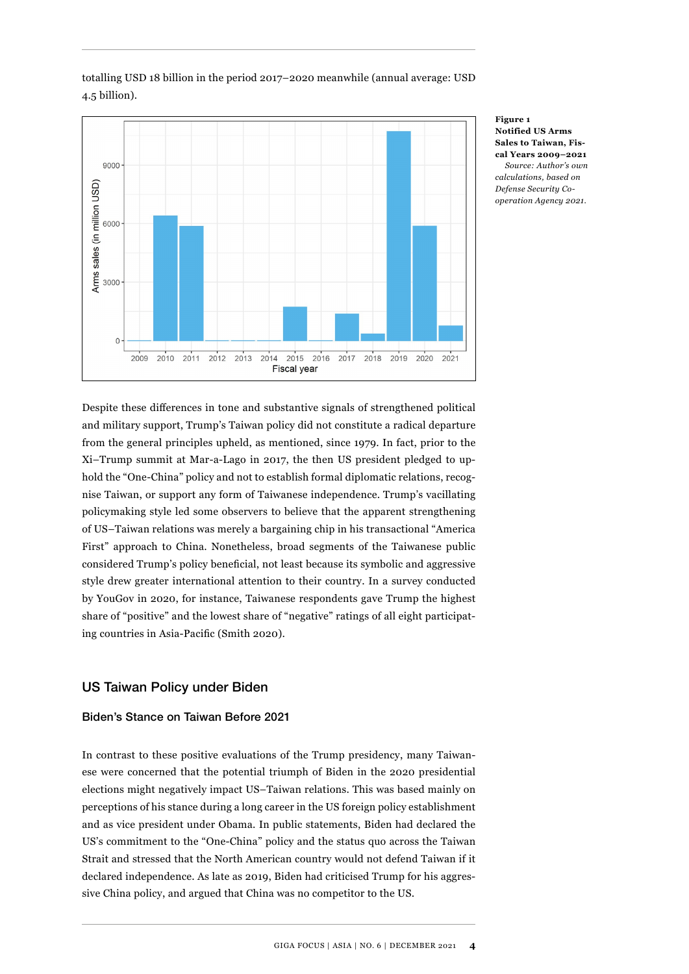

totalling USD 18 billion in the period 2017–2020 meanwhile (annual average: USD 4.5 billion).

> **Figure 1 Notified US Arms Sales to Taiwan, Fiscal Years 2009–2021** *Source: Author's own calculations, based on Defense Security Cooperation Agency 2021.*

<span id="page-3-0"></span>Despite these differences in tone and substantive signals of strengthened political and military support, Trump's Taiwan policy did not constitute a radical departure from the general principles upheld, as mentioned, since 1979. In fact, prior to the Xi–Trump summit at Mar-a-Lago in 2017, the then US president pledged to uphold the "One-China" policy and not to establish formal diplomatic relations, recognise Taiwan, or support any form of Taiwanese independence. Trump's vacillating policymaking style led some observers to believe that the apparent strengthening of US–Taiwan relations was merely a bargaining chip in his transactional "America First" approach to China. Nonetheless, broad segments of the Taiwanese public considered Trump's policy beneficial, not least because its symbolic and aggressive style drew greater international attention to their country. In a survey conducted by YouGov in 2020, for instance, Taiwanese respondents gave Trump the highest share of "positive" and the lowest share of "negative" ratings of all eight participating countries in Asia-Pacific (Smith 2020).

## US Taiwan Policy under Biden

## Biden's Stance on Taiwan Before 2021

In contrast to these positive evaluations of the Trump presidency, many Taiwanese were concerned that the potential triumph of Biden in the 2020 presidential elections might negatively impact US–Taiwan relations. This was based mainly on perceptions of his stance during a long career in the US foreign policy establishment and as vice president under Obama. In public statements, Biden had declared the US's commitment to the "One-China" policy and the status quo across the Taiwan Strait and stressed that the North American country would not defend Taiwan if it declared independence. As late as 2019, Biden had criticised Trump for his aggressive China policy, and argued that China was no competitor to the US.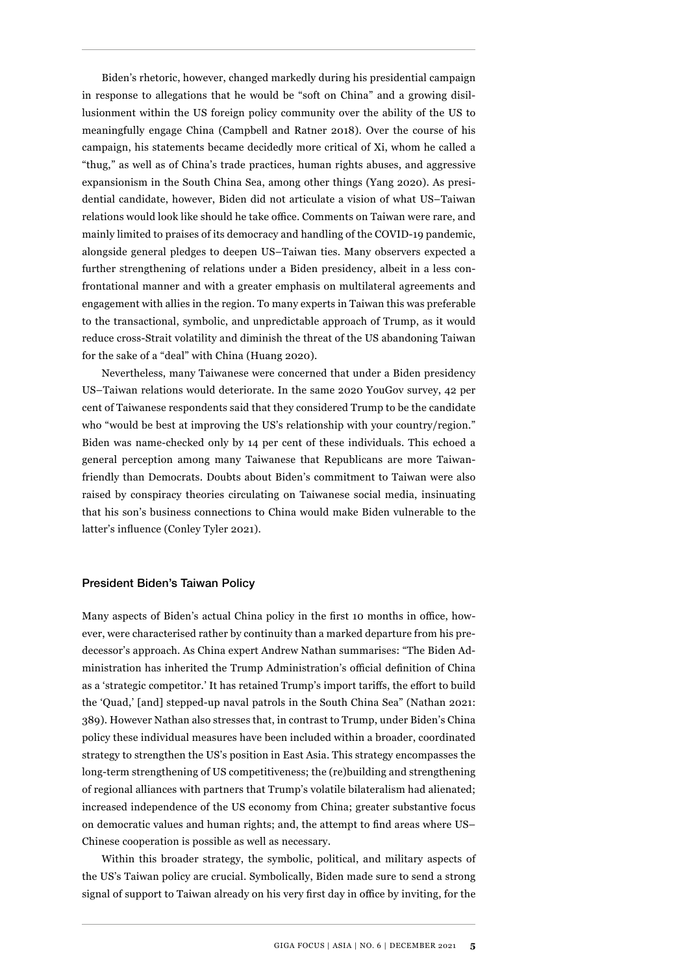Biden's rhetoric, however, changed markedly during his presidential campaign in response to allegations that he would be "soft on China" and a growing disillusionment within the US foreign policy community over the ability of the US to meaningfully engage China (Campbell and Ratner 2018). Over the course of his campaign, his statements became decidedly more critical of Xi, whom he called a "thug," as well as of China's trade practices, human rights abuses, and aggressive expansionism in the South China Sea, among other things (Yang 2020). As presidential candidate, however, Biden did not articulate a vision of what US–Taiwan relations would look like should he take office. Comments on Taiwan were rare, and mainly limited to praises of its democracy and handling of the COVID-19 pandemic, alongside general pledges to deepen US–Taiwan ties. Many observers expected a further strengthening of relations under a Biden presidency, albeit in a less confrontational manner and with a greater emphasis on multilateral agreements and engagement with allies in the region. To many experts in Taiwan this was preferable to the transactional, symbolic, and unpredictable approach of Trump, as it would reduce cross-Strait volatility and diminish the threat of the US abandoning Taiwan for the sake of a "deal" with China (Huang 2020).

Nevertheless, many Taiwanese were concerned that under a Biden presidency US–Taiwan relations would deteriorate. In the same 2020 YouGov survey, 42 per cent of Taiwanese respondents said that they considered Trump to be the candidate who "would be best at improving the US's relationship with your country/region." Biden was name-checked only by 14 per cent of these individuals. This echoed a general perception among many Taiwanese that Republicans are more Taiwanfriendly than Democrats. Doubts about Biden's commitment to Taiwan were also raised by conspiracy theories circulating on Taiwanese social media, insinuating that his son's business connections to China would make Biden vulnerable to the latter's influence (Conley Tyler 2021).

#### President Biden's Taiwan Policy

Many aspects of Biden's actual China policy in the first 10 months in office, however, were characterised rather by continuity than a marked departure from his predecessor's approach. As China expert Andrew Nathan summarises: "The Biden Administration has inherited the Trump Administration's official definition of China as a 'strategic competitor.' It has retained Trump's import tariffs, the effort to build the 'Quad,' [and] stepped-up naval patrols in the South China Sea" (Nathan 2021: 389). However Nathan also stresses that, in contrast to Trump, under Biden's China policy these individual measures have been included within a broader, coordinated strategy to strengthen the US's position in East Asia. This strategy encompasses the long-term strengthening of US competitiveness; the (re)building and strengthening of regional alliances with partners that Trump's volatile bilateralism had alienated; increased independence of the US economy from China; greater substantive focus on democratic values and human rights; and, the attempt to find areas where US– Chinese cooperation is possible as well as necessary.

Within this broader strategy, the symbolic, political, and military aspects of the US's Taiwan policy are crucial. Symbolically, Biden made sure to send a strong signal of support to Taiwan already on his very first day in office by inviting, for the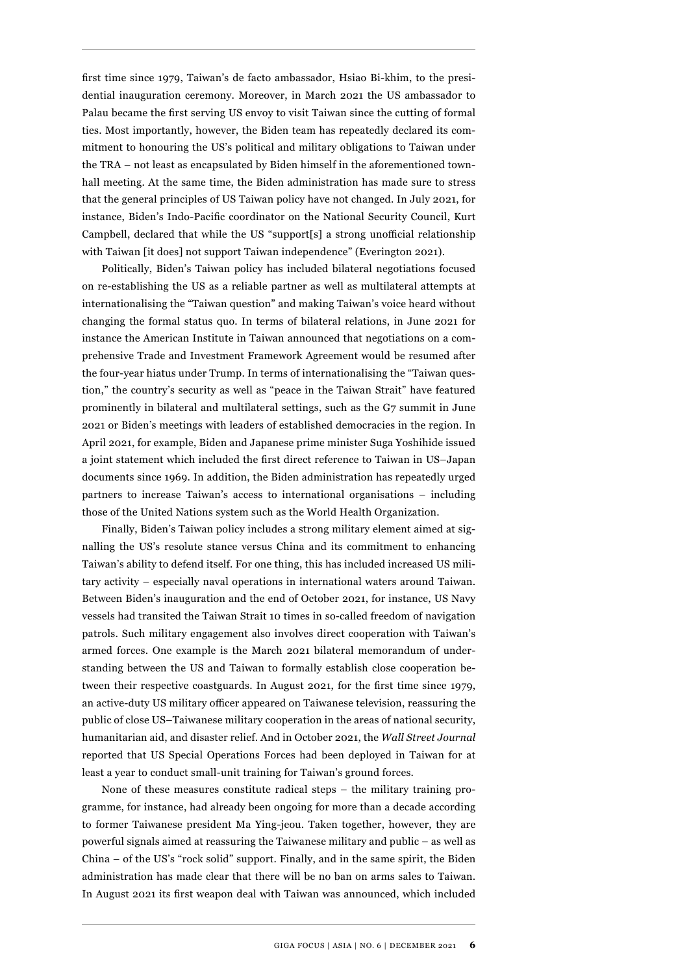first time since 1979, Taiwan's de facto ambassador, Hsiao Bi-khim, to the presidential inauguration ceremony. Moreover, in March 2021 the US ambassador to Palau became the first serving US envoy to visit Taiwan since the cutting of formal ties. Most importantly, however, the Biden team has repeatedly declared its commitment to honouring the US's political and military obligations to Taiwan under the TRA – not least as encapsulated by Biden himself in the aforementioned townhall meeting. At the same time, the Biden administration has made sure to stress that the general principles of US Taiwan policy have not changed. In July 2021, for instance, Biden's Indo-Pacific coordinator on the National Security Council, Kurt Campbell, declared that while the US "support[s] a strong unofficial relationship with Taiwan [it does] not support Taiwan independence" (Everington 2021).

Politically, Biden's Taiwan policy has included bilateral negotiations focused on re-establishing the US as a reliable partner as well as multilateral attempts at internationalising the "Taiwan question" and making Taiwan's voice heard without changing the formal status quo. In terms of bilateral relations, in June 2021 for instance the American Institute in Taiwan announced that negotiations on a comprehensive Trade and Investment Framework Agreement would be resumed after the four-year hiatus under Trump. In terms of internationalising the "Taiwan question," the country's security as well as "peace in the Taiwan Strait" have featured prominently in bilateral and multilateral settings, such as the G7 summit in June 2021 or Biden's meetings with leaders of established democracies in the region. In April 2021, for example, Biden and Japanese prime minister Suga Yoshihide issued a joint statement which included the first direct reference to Taiwan in US–Japan documents since 1969. In addition, the Biden administration has repeatedly urged partners to increase Taiwan's access to international organisations – including those of the United Nations system such as the World Health Organization.

Finally, Biden's Taiwan policy includes a strong military element aimed at signalling the US's resolute stance versus China and its commitment to enhancing Taiwan's ability to defend itself. For one thing, this has included increased US military activity – especially naval operations in international waters around Taiwan. Between Biden's inauguration and the end of October 2021, for instance, US Navy vessels had transited the Taiwan Strait 10 times in so-called freedom of navigation patrols. Such military engagement also involves direct cooperation with Taiwan's armed forces. One example is the March 2021 bilateral memorandum of understanding between the US and Taiwan to formally establish close cooperation between their respective coastguards. In August 2021, for the first time since 1979, an active-duty US military officer appeared on Taiwanese television, reassuring the public of close US–Taiwanese military cooperation in the areas of national security, humanitarian aid, and disaster relief. And in October 2021, the *Wall Street Journal*  reported that US Special Operations Forces had been deployed in Taiwan for at least a year to conduct small-unit training for Taiwan's ground forces.

None of these measures constitute radical steps – the military training programme, for instance, had already been ongoing for more than a decade according to former Taiwanese president Ma Ying-jeou. Taken together, however, they are powerful signals aimed at reassuring the Taiwanese military and public – as well as China – of the US's "rock solid" support. Finally, and in the same spirit, the Biden administration has made clear that there will be no ban on arms sales to Taiwan. In August 2021 its first weapon deal with Taiwan was announced, which included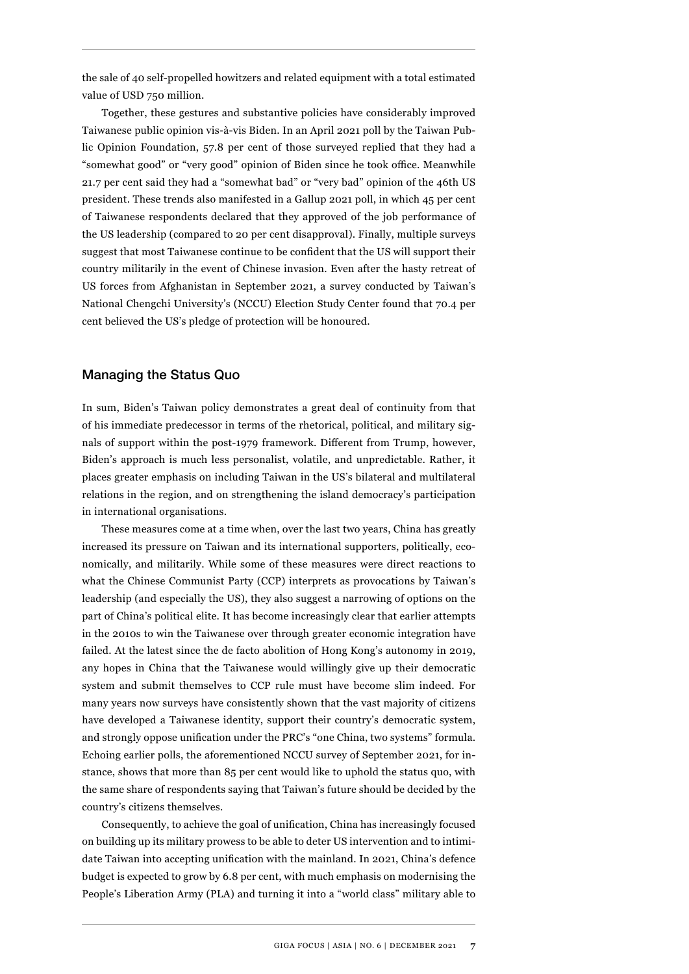the sale of 40 self-propelled howitzers and related equipment with a total estimated value of USD 750 million.

Together, these gestures and substantive policies have considerably improved Taiwanese public opinion vis-à-vis Biden. In an April 2021 poll by the Taiwan Public Opinion Foundation, 57.8 per cent of those surveyed replied that they had a "somewhat good" or "very good" opinion of Biden since he took office. Meanwhile 21.7 per cent said they had a "somewhat bad" or "very bad" opinion of the 46th US president. These trends also manifested in a Gallup 2021 poll, in which 45 per cent of Taiwanese respondents declared that they approved of the job performance of the US leadership (compared to 20 per cent disapproval). Finally, multiple surveys suggest that most Taiwanese continue to be confident that the US will support their country militarily in the event of Chinese invasion. Even after the hasty retreat of US forces from Afghanistan in September 2021, a survey conducted by Taiwan's National Chengchi University's (NCCU) Election Study Center found that 70.4 per cent believed the US's pledge of protection will be honoured.

## Managing the Status Quo

In sum, Biden's Taiwan policy demonstrates a great deal of continuity from that of his immediate predecessor in terms of the rhetorical, political, and military signals of support within the post-1979 framework. Different from Trump, however, Biden's approach is much less personalist, volatile, and unpredictable. Rather, it places greater emphasis on including Taiwan in the US's bilateral and multilateral relations in the region, and on strengthening the island democracy's participation in international organisations.

These measures come at a time when, over the last two years, China has greatly increased its pressure on Taiwan and its international supporters, politically, economically, and militarily. While some of these measures were direct reactions to what the Chinese Communist Party (CCP) interprets as provocations by Taiwan's leadership (and especially the US), they also suggest a narrowing of options on the part of China's political elite. It has become increasingly clear that earlier attempts in the 2010s to win the Taiwanese over through greater economic integration have failed. At the latest since the de facto abolition of Hong Kong's autonomy in 2019, any hopes in China that the Taiwanese would willingly give up their democratic system and submit themselves to CCP rule must have become slim indeed. For many years now surveys have consistently shown that the vast majority of citizens have developed a Taiwanese identity, support their country's democratic system, and strongly oppose unification under the PRC's "one China, two systems" formula. Echoing earlier polls, the aforementioned NCCU survey of September 2021, for instance, shows that more than 85 per cent would like to uphold the status quo, with the same share of respondents saying that Taiwan's future should be decided by the country's citizens themselves.

Consequently, to achieve the goal of unification, China has increasingly focused on building up its military prowess to be able to deter US intervention and to intimidate Taiwan into accepting unification with the mainland. In 2021, China's defence budget is expected to grow by 6.8 per cent, with much emphasis on modernising the People's Liberation Army (PLA) and turning it into a "world class" military able to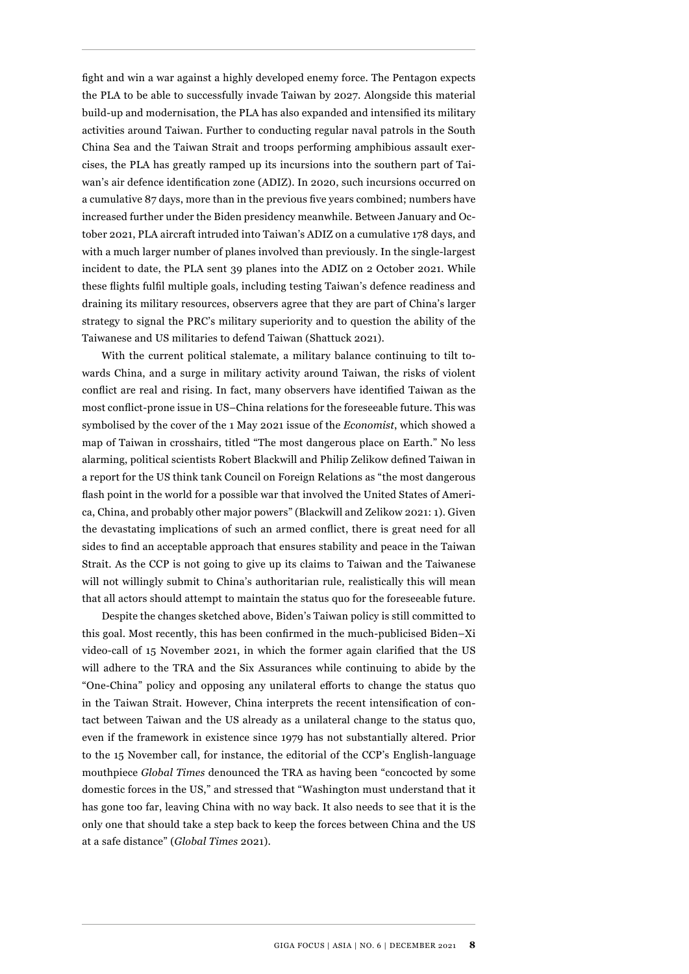fight and win a war against a highly developed enemy force. The Pentagon expects the PLA to be able to successfully invade Taiwan by 2027. Alongside this material build-up and modernisation, the PLA has also expanded and intensified its military activities around Taiwan. Further to conducting regular naval patrols in the South China Sea and the Taiwan Strait and troops performing amphibious assault exercises, the PLA has greatly ramped up its incursions into the southern part of Taiwan's air defence identification zone (ADIZ). In 2020, such incursions occurred on a cumulative 87 days, more than in the previous five years combined; numbers have increased further under the Biden presidency meanwhile. Between January and October 2021, PLA aircraft intruded into Taiwan's ADIZ on a cumulative 178 days, and with a much larger number of planes involved than previously. In the single-largest incident to date, the PLA sent 39 planes into the ADIZ on 2 October 2021. While these flights fulfil multiple goals, including testing Taiwan's defence readiness and draining its military resources, observers agree that they are part of China's larger strategy to signal the PRC's military superiority and to question the ability of the Taiwanese and US militaries to defend Taiwan (Shattuck 2021).

With the current political stalemate, a military balance continuing to tilt towards China, and a surge in military activity around Taiwan, the risks of violent conflict are real and rising. In fact, many observers have identified Taiwan as the most conflict-prone issue in US–China relations for the foreseeable future. This was symbolised by the cover of the 1 May 2021 issue of the *Economist*, which showed a map of Taiwan in crosshairs, titled "The most dangerous place on Earth." No less alarming, political scientists Robert Blackwill and Philip Zelikow defined Taiwan in a report for the US think tank Council on Foreign Relations as "the most dangerous flash point in the world for a possible war that involved the United States of America, China, and probably other major powers" (Blackwill and Zelikow 2021: 1). Given the devastating implications of such an armed conflict, there is great need for all sides to find an acceptable approach that ensures stability and peace in the Taiwan Strait. As the CCP is not going to give up its claims to Taiwan and the Taiwanese will not willingly submit to China's authoritarian rule, realistically this will mean that all actors should attempt to maintain the status quo for the foreseeable future.

Despite the changes sketched above, Biden's Taiwan policy is still committed to this goal. Most recently, this has been confirmed in the much-publicised Biden–Xi video-call of 15 November 2021, in which the former again clarified that the US will adhere to the TRA and the Six Assurances while continuing to abide by the "One-China" policy and opposing any unilateral efforts to change the status quo in the Taiwan Strait. However, China interprets the recent intensification of contact between Taiwan and the US already as a unilateral change to the status quo, even if the framework in existence since 1979 has not substantially altered. Prior to the 15 November call, for instance, the editorial of the CCP's English-language mouthpiece *Global Times* denounced the TRA as having been "concocted by some domestic forces in the US," and stressed that "Washington must understand that it has gone too far, leaving China with no way back. It also needs to see that it is the only one that should take a step back to keep the forces between China and the US at a safe distance" (*Global Times* 2021).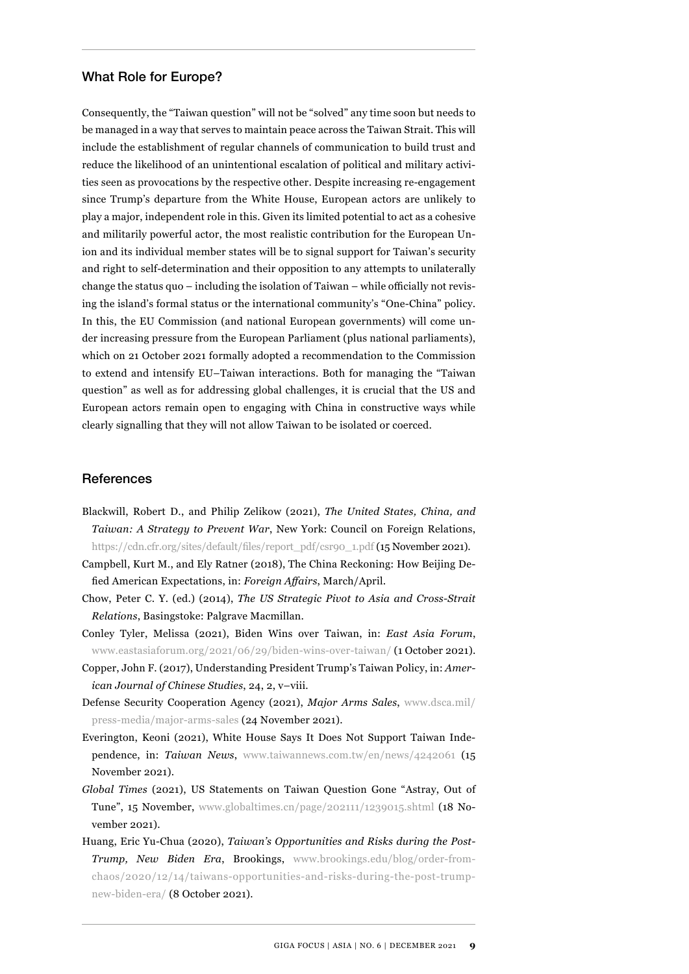#### What Role for Europe?

Consequently, the "Taiwan question" will not be "solved" any time soon but needs to be managed in a way that serves to maintain peace across the Taiwan Strait. This will include the establishment of regular channels of communication to build trust and reduce the likelihood of an unintentional escalation of political and military activities seen as provocations by the respective other. Despite increasing re-engagement since Trump's departure from the White House, European actors are unlikely to play a major, independent role in this. Given its limited potential to act as a cohesive and militarily powerful actor, the most realistic contribution for the European Union and its individual member states will be to signal support for Taiwan's security and right to self-determination and their opposition to any attempts to unilaterally change the status quo – including the isolation of Taiwan – while officially not revising the island's formal status or the international community's "One-China" policy. In this, the EU Commission (and national European governments) will come under increasing pressure from the European Parliament (plus national parliaments), which on 21 October 2021 formally adopted a recommendation to the Commission to extend and intensify EU–Taiwan interactions. Both for managing the "Taiwan question" as well as for addressing global challenges, it is crucial that the US and European actors remain open to engaging with China in constructive ways while clearly signalling that they will not allow Taiwan to be isolated or coerced.

#### References

- Blackwill, Robert D., and Philip Zelikow (2021), *The United States, China, and Taiwan: A Strategy to Prevent War*, New York: Council on Foreign Relations, [https://cdn.cfr.org/sites/default/files/report\\_pdf/csr90\\_1.pdf](https://­cdn.cfr.org/sites/default/files/report_pdf/csr90_1.pdf) (15 November 2021).
- Campbell, Kurt M., and Ely Ratner (2018), The China Reckoning: How Beijing Defied American Expectations, in: *Foreign Affairs*, March/April.
- Chow, Peter C. Y. (ed.) (2014), *The US Strategic Pivot to Asia and Cross-Strait Relations*, Basingstoke: Palgrave Macmillan.
- Conley Tyler, Melissa (2021), Biden Wins over Taiwan, in: *East Asia Forum*, [www.eastasiaforum.org/2021/06/29/biden-wins-over-taiwan/](https://www.eastasiaforum.org/2021/06/29/biden-wins-over-taiwan/) (1 October 2021).
- Copper, John F. (2017), Understanding President Trump's Taiwan Policy, in: *American Journal of Chinese Studies*, 24, 2, v–viii.
- Defense Security Cooperation Agency (2021), *Major Arms Sales*, [www.dsca.mil/](https://www.dsca.mil/press-media/major-arms-sales) [press-media/major-arms-sales](https://www.dsca.mil/press-media/major-arms-sales) (24 November 2021).
- Everington, Keoni (2021), White House Says It Does Not Support Taiwan Independence, in: *Taiwan News*, [www.taiwannews.com.tw/en/news/4242061](https://www.taiwannews.com.tw/en/news/4242061) (15 November 2021).
- *Global Times* (2021), US Statements on Taiwan Question Gone "Astray, Out of Tune", 15 November, [www.globaltimes.cn/page/202111/1239015.shtml \(](https://www.globaltimes.cn/page/202111/1239015.shtml )18 November 2021).
- Huang, Eric Yu-Chua (2020), *Taiwan's Opportunities and Risks during the Post-Trump, New Biden Era*, Brookings, [www.brookings.edu/blog/order-from](https://www.brookings.edu/blog/order-from-chaos/2020/12/14/taiwans-opportunities-and-risks-during-the-post-trump-new-biden-era/)[chaos/2020/12/14/taiwans-opportunities-and-risks-during-the-post-trump](https://www.brookings.edu/blog/order-from-chaos/2020/12/14/taiwans-opportunities-and-risks-during-the-post-trump-new-biden-era/)[new-biden-era/](https://www.brookings.edu/blog/order-from-chaos/2020/12/14/taiwans-opportunities-and-risks-during-the-post-trump-new-biden-era/) (8 October 2021).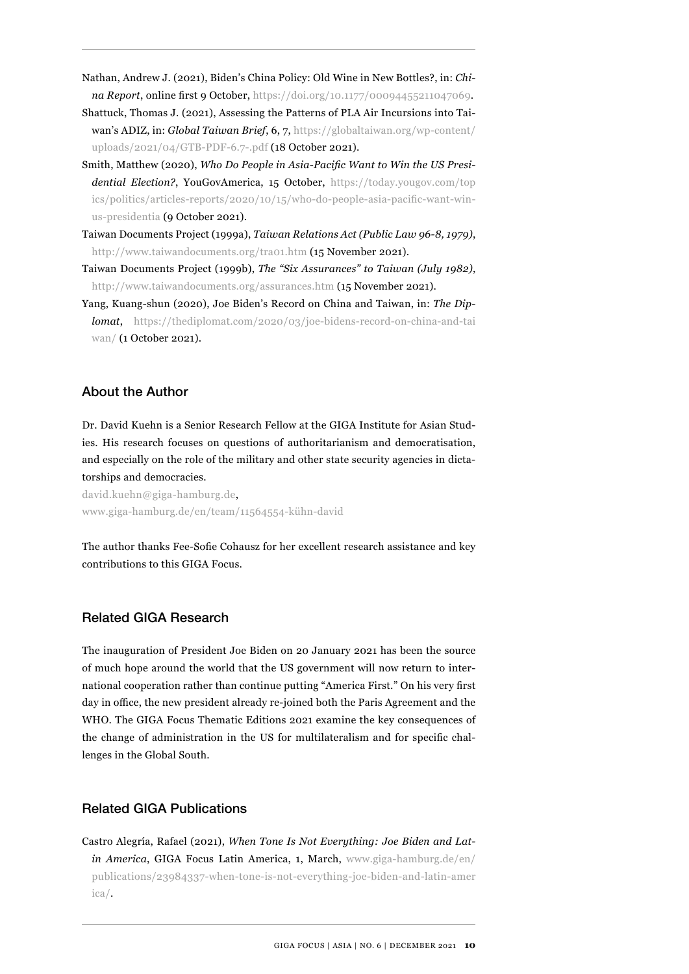- Nathan, Andrew J. (2021), Biden's China Policy: Old Wine in New Bottles?, in: *China Report*, online first 9 October, [https://doi.org/10.1177/00094455211047069.](https://doi.org/10.1177/00094455211047069)
- Shattuck, Thomas J. (2021), Assessing the Patterns of PLA Air Incursions into Taiwan's ADIZ, in: *Global Taiwan Brief*, 6, 7, [https://globaltaiwan.org/wp-content/](https://globaltaiwan.org/wp-content/uploads/2021/04/GTB-PDF-6.7-.pdf) [uploads/2021/04/GTB-PDF-6.7-.pdf](https://globaltaiwan.org/wp-content/uploads/2021/04/GTB-PDF-6.7-.pdf) (18 October 2021).
- Smith, Matthew (2020), *Who Do People in Asia-Pacific Want to Win the US Presidential Election?*, YouGovAmerica, 15 October, [https://today.yougov.com/top](https://today.yougov.com/topics/politics/articles-reports/2020/10/15/who-do-people-asia-pacific-want-win-us-presidentia) [ics/politics/articles-reports/2020/10/15/who-do-people-asia-pacific-want-win](https://today.yougov.com/topics/politics/articles-reports/2020/10/15/who-do-people-asia-pacific-want-win-us-presidentia)[us-presidentia](https://today.yougov.com/topics/politics/articles-reports/2020/10/15/who-do-people-asia-pacific-want-win-us-presidentia) (9 October 2021).
- Taiwan Documents Project (1999a), *Taiwan Relations Act (Public Law 96-8, 1979)*, <http://www.taiwandocuments.org/tra01.htm> (15 November 2021).
- Taiwan Documents Project (1999b), *The "Six Assurances" to Taiwan (July 1982)*, <http://www.taiwandocuments.org/assurances.htm>(15 November 2021).
- Yang, Kuang-shun (2020), Joe Biden's Record on China and Taiwan, in: *The Diplomat*, [https://thediplomat.com/2020/03/joe-bidens-record-on-china-and-tai](https://thediplomat.com/2020/03/joe-bidens-record-on-china-and-taiwan/) [wan/](https://thediplomat.com/2020/03/joe-bidens-record-on-china-and-taiwan/) (1 October 2021).

## About the Author

Dr. David Kuehn is a Senior Research Fellow at the GIGA Institute for Asian Studies. His research focuses on questions of authoritarianism and democratisation, and especially on the role of the military and other state security agencies in dictatorships and democracies.

david.kuehn@giga-hamburg.de, [www.giga-hamburg.de/en/team/11564554-kühn-david](https://www.giga-hamburg.de/en/team/11564554-kühn-david)

The author thanks Fee-Sofie Cohausz for her excellent research assistance and key contributions to this GIGA Focus.

## Related GIGA Research

The inauguration of President Joe Biden on 20 January 2021 has been the source of much hope around the world that the US government will now return to international cooperation rather than continue putting "America First." On his very first day in office, the new president already re-joined both the Paris Agreement and the WHO. The GIGA Focus Thematic Editions 2021 examine the key consequences of the change of administration in the US for multilateralism and for specific challenges in the Global South.

## Related GIGA Publications

Castro Alegría, Rafael (2021), *When Tone Is Not Everything: Joe Biden and Latin America*, GIGA Focus Latin America, 1, March, [www.giga-hamburg.de/en/](https://www.giga-hamburg.de/en/publications/23984337-when-tone-is-not-everything-joe-biden-and-latin-america/) [publications/23984337-when-tone-is-not-everything-joe-biden-and-latin-amer](https://www.giga-hamburg.de/en/publications/23984337-when-tone-is-not-everything-joe-biden-and-latin-america/) [ica/](https://www.giga-hamburg.de/en/publications/23984337-when-tone-is-not-everything-joe-biden-and-latin-america/).